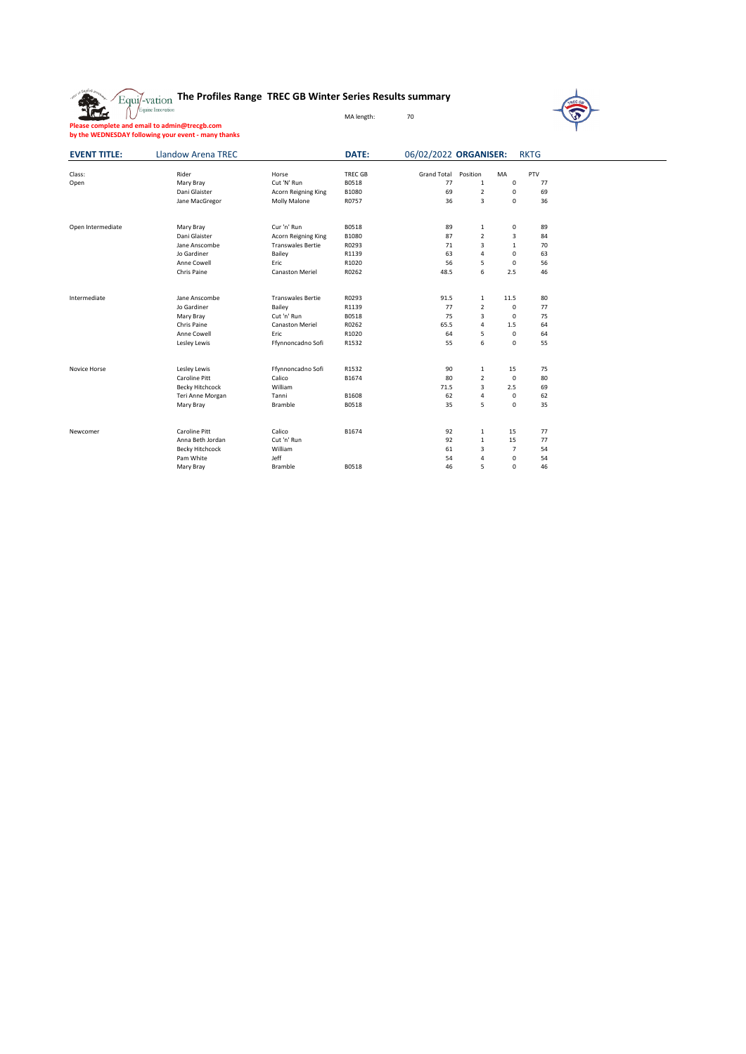|  | Equi/-vation The Profiles Range TREC GB Winter Series Results summary |  |
|--|-----------------------------------------------------------------------|--|
|  | MA length:                                                            |  |



|                     | Please complete and email to admin@trecgb.com<br>by the WEDNESDAY following your event - many thanks |                          |                |                       |                |              |             |  |
|---------------------|------------------------------------------------------------------------------------------------------|--------------------------|----------------|-----------------------|----------------|--------------|-------------|--|
| <b>EVENT TITLE:</b> | <b>Llandow Arena TREC</b>                                                                            |                          | DATE:          | 06/02/2022 ORGANISER: |                |              | <b>RKTG</b> |  |
| Class:              | Rider                                                                                                | Horse                    | <b>TREC GB</b> | <b>Grand Total</b>    | Position       | MA           | PTV         |  |
| Open                | Mary Bray                                                                                            | Cut 'N' Run              | B0518          | 77                    | $\mathbf{1}$   | 0            | 77          |  |
|                     | Dani Glaister                                                                                        | Acorn Reigning King      | B1080          | 69                    | 2              | 0            | 69          |  |
|                     | Jane MacGregor                                                                                       | Molly Malone             | R0757          | 36                    | 3              | 0            | 36          |  |
| Open Intermediate   | Mary Bray                                                                                            | Cur 'n' Run              | B0518          | 89                    | $\mathbf{1}$   | 0            | 89          |  |
|                     | Dani Glaister                                                                                        | Acorn Reigning King      | B1080          | 87                    | $\overline{2}$ | 3            | 84          |  |
|                     | Jane Anscombe                                                                                        | <b>Transwales Bertie</b> | R0293          | 71                    | 3              | $\mathbf{1}$ | 70          |  |
|                     | Jo Gardiner                                                                                          | Bailey                   | R1139          | 63                    | 4              | 0            | 63          |  |
|                     | Anne Cowell                                                                                          | Eric                     | R1020          | 56                    | 5              | 0            | 56          |  |
|                     | Chris Paine                                                                                          | <b>Canaston Meriel</b>   | R0262          | 48.5                  | 6              | 2.5          | 46          |  |
| Intermediate        | Jane Anscombe                                                                                        | <b>Transwales Bertie</b> | R0293          | 91.5                  | 1              | 11.5         | 80          |  |
|                     | Jo Gardiner                                                                                          | Bailey                   | R1139          | 77                    | $\overline{2}$ | 0            | 77          |  |
|                     | Mary Bray                                                                                            | Cut 'n' Run              | B0518          | 75                    | 3              | 0            | 75          |  |
|                     | Chris Paine                                                                                          | <b>Canaston Meriel</b>   | R0262          | 65.5                  | 4              | 1.5          | 64          |  |
|                     | Anne Cowell                                                                                          | Eric                     | R1020          | 64                    | 5              | 0            | 64          |  |
|                     | Lesley Lewis                                                                                         | Ffynnoncadno Sofi        | R1532          | 55                    | 6              | 0            | 55          |  |
| Novice Horse        | Lesley Lewis                                                                                         | Ffynnoncadno Sofi        | R1532          | 90                    | $\,1\,$        | 15           | 75          |  |
|                     | Caroline Pitt                                                                                        | Calico                   | B1674          | 80                    | $\overline{2}$ | 0            | 80          |  |
|                     | Becky Hitchcock                                                                                      | William                  |                | 71.5                  | 3              | 2.5          | 69          |  |
|                     | Teri Anne Morgan                                                                                     | Tanni                    | B1608          | 62                    | 4              | 0            | 62          |  |
|                     | Mary Bray                                                                                            | Bramble                  | B0518          | 35                    | 5              | 0            | 35          |  |
| Newcomer            | Caroline Pitt                                                                                        | Calico                   | B1674          | 92                    | 1              | 15           | 77          |  |
|                     | Anna Beth Jordan                                                                                     | Cut 'n' Run              |                | 92                    | $\mathbf{1}$   | 15           | 77          |  |
|                     | Becky Hitchcock                                                                                      | William                  |                | 61                    | 3              | 7            | 54          |  |
|                     | Pam White                                                                                            | Jeff                     |                | 54                    | 4              | 0            | 54          |  |
|                     | Mary Bray                                                                                            | Bramble                  | B0518          | 46                    | 5              | $\Omega$     | 46          |  |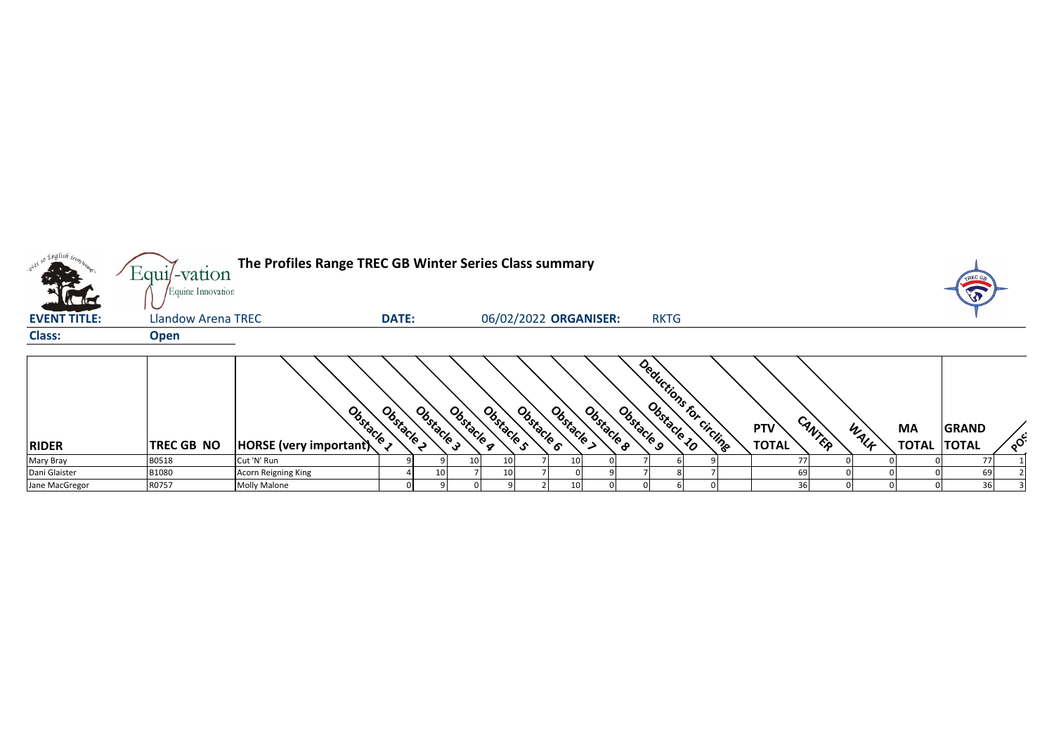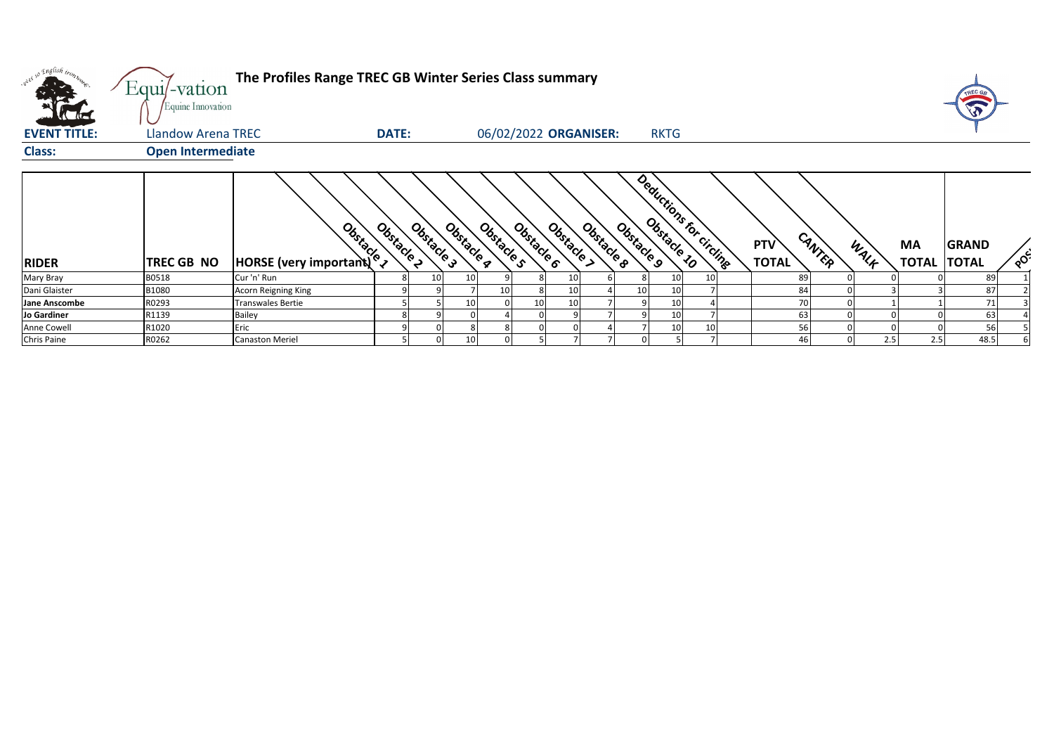| only so English man<br>$\overline{a}$ | The Profiles Range TREC GB Winter Series Class summary<br>$Equi$ -vation<br>Equine Innovation |                                                                                                                                                                                                                                      |                          |            |            |            |          |                       |            |                          |  |                            |        |      |                          | TREC GA      |     |
|---------------------------------------|-----------------------------------------------------------------------------------------------|--------------------------------------------------------------------------------------------------------------------------------------------------------------------------------------------------------------------------------------|--------------------------|------------|------------|------------|----------|-----------------------|------------|--------------------------|--|----------------------------|--------|------|--------------------------|--------------|-----|
| <b>EVENT TITLE:</b>                   | Llandow Arena TREC                                                                            | <b>DATE:</b>                                                                                                                                                                                                                         |                          |            |            |            |          | 06/02/2022 ORGANISER: |            | <b>RKTG</b>              |  |                            |        |      |                          |              |     |
| <b>Class:</b>                         | <b>Open Intermediate</b>                                                                      |                                                                                                                                                                                                                                      |                          |            |            |            |          |                       |            |                          |  |                            |        |      |                          |              |     |
| <b>RIDER</b>                          | <b>TREC GB NO</b>                                                                             | <b>Branch Control Comportant Composition Comportant Comportant Comportant Comportant Comportant Comportant Comportant Comportant Comportant Comportant Comportant Comportant Comportant Comportant Comportant Comportant Comport</b> | Obstacle 2<br>Obstacle 3 | Obstacle a | Obstacle s | Obstacle 6 | Obstacle | Obstacle 8            | Obstacle 9 | Deductions for circlings |  | <b>PTV</b><br><b>TOTAL</b> | CANTER | WALK | MA<br><b>TOTAL TOTAL</b> | <b>GRAND</b> | POS |
| <b>Mary Bray</b>                      | B0518                                                                                         | Cur 'n' Run                                                                                                                                                                                                                          |                          |            |            |            | 10       |                       |            | 10<br>10                 |  | 89                         |        |      |                          | 89           |     |
| Dani Glaister                         | B1080                                                                                         | Acorn Reigning King                                                                                                                                                                                                                  |                          |            | 10         |            | 10       |                       | 10         | 10                       |  | 84                         |        |      |                          | 87           |     |
| <b>Jane Anscombe</b>                  | R0293                                                                                         | <b>Transwales Bertie</b>                                                                                                                                                                                                             |                          |            |            | 10         | 10       |                       |            | 10                       |  | 70                         |        |      |                          | 71           |     |
| Jo Gardiner                           | R1139                                                                                         | <b>Bailey</b>                                                                                                                                                                                                                        |                          |            |            |            |          |                       |            | 10                       |  | 63                         |        |      |                          | 63           |     |
| Anne Cowell                           | R1020                                                                                         | Eric                                                                                                                                                                                                                                 |                          |            |            |            |          |                       |            | 10<br>10                 |  | 56                         |        |      |                          | 56           |     |
| Chris Paine                           | R0262                                                                                         | <b>Canaston Meriel</b>                                                                                                                                                                                                               |                          |            |            |            |          |                       |            |                          |  |                            |        | 2.5  | 2.5                      | 48.5         |     |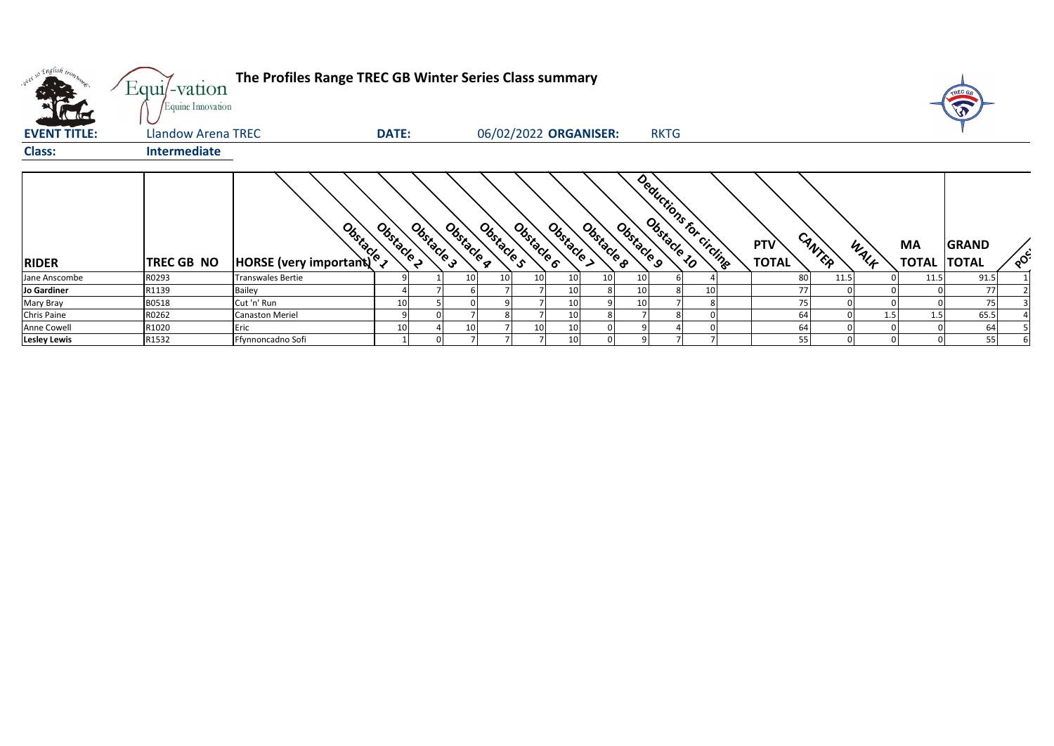| we so English trong | Equi/-vation<br>Equine Innovation | The Profiles Range TREC GB Winter Series Class summary |              |            |            |                          |                 |                       |                       |                         |    |                     |        |      |                    |                              |            |
|---------------------|-----------------------------------|--------------------------------------------------------|--------------|------------|------------|--------------------------|-----------------|-----------------------|-----------------------|-------------------------|----|---------------------|--------|------|--------------------|------------------------------|------------|
| <b>EVENT TITLE:</b> | Llandow Arena TREC                |                                                        | <b>DATE:</b> |            |            |                          |                 | 06/02/2022 ORGANISER: |                       | <b>RKTG</b>             |    |                     |        |      |                    |                              |            |
| <b>Class:</b>       | <b>Intermediate</b>               |                                                        |              |            |            |                          |                 |                       |                       |                         |    |                     |        |      |                    |                              |            |
| <b>RIDER</b>        | <b>TREC GB NO</b>                 | <b>Branch</b><br>HORSE (very important)                | Obstacle 2   | Obstacle 3 | Obstacle g | Obstacle 6<br>Obstacle s | Obstacle        | Obstacle 8            | Obstacle <sub>9</sub> | Deductions for circling |    | PTV<br><b>TOTAL</b> | CANTER | WALK | МA<br><b>TOTAL</b> | <b>GRAND</b><br><b>TOTAL</b> | <b>OCC</b> |
| Jane Anscombe       | R0293                             | <b>Transwales Bertie</b>                               |              |            | 10         | 10                       | 10              | 10                    | 10                    |                         |    | 80                  | 11.5   |      | 11.5               | 91.5                         |            |
| Jo Gardiner         | R1139                             | <b>Bailey</b>                                          |              |            |            |                          | 10              |                       | 10                    |                         | 10 | 77                  |        |      |                    | 77                           |            |
| Mary Bray           | B0518                             | Cut 'n' Run                                            | 10           |            |            |                          | 10              |                       | 10                    |                         |    | 75                  |        |      |                    | 75                           |            |
| Chris Paine         | R0262                             | <b>Canaston Meriel</b>                                 | a            |            |            |                          | 10 <sub>1</sub> |                       |                       |                         |    | 64                  |        | 1.5  | 1.5                | 65.5                         |            |
| Anne Cowell         | R1020                             | Eric                                                   | 10           |            | 10         |                          | 10              |                       |                       |                         |    | 64                  |        |      |                    |                              |            |
| <b>Lesley Lewis</b> | R1532                             | Ffynnoncadno Sofi                                      |              |            |            |                          | 10              |                       |                       |                         |    | 55                  |        |      |                    | 55                           |            |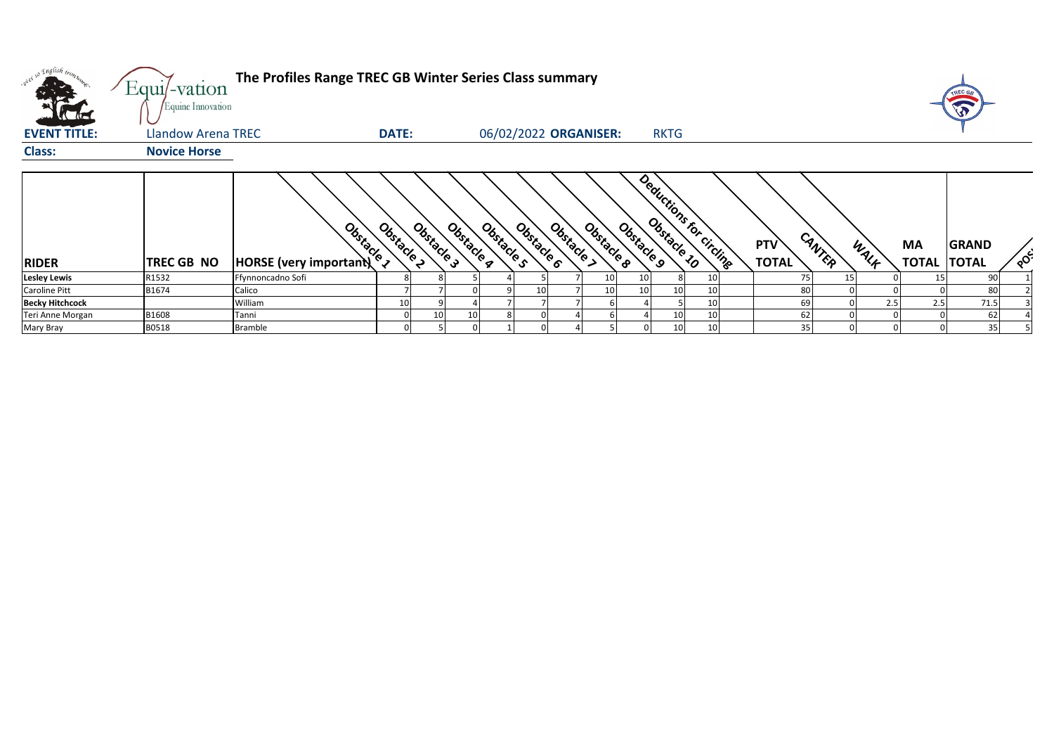| over so English trong  | Equi/-vation<br>Equine Innovation | The Profiles Range TREC GB Winter Series Class summary |              |            |                          |                          |                 |                 |                         |    |                     |        |      |                          |              |                                    |
|------------------------|-----------------------------------|--------------------------------------------------------|--------------|------------|--------------------------|--------------------------|-----------------|-----------------|-------------------------|----|---------------------|--------|------|--------------------------|--------------|------------------------------------|
| <b>EVENT TITLE:</b>    | Llandow Arena TREC                |                                                        | <b>DATE:</b> |            |                          | 06/02/2022 ORGANISER:    |                 |                 | <b>RKTG</b>             |    |                     |        |      |                          |              |                                    |
| <b>Class:</b>          | <b>Novice Horse</b>               |                                                        |              |            |                          |                          |                 |                 |                         |    |                     |        |      |                          |              |                                    |
| <b>RIDER</b>           | <b>TREC GB NO</b>                 | Obstacle 1<br>HORSE (very important)                   | Obstacle 2   | Obstacle 3 | Obstacle q<br>Obstacle s | Obstacle 6<br>Obstacle > | Obstacle 8      | Obstacle 9      | Deductions for circling |    | PTV<br><b>TOTAL</b> | CANTER | WALK | MA<br><b>TOTAL TOTAL</b> | <b>GRAND</b> | $\circ^{\mathcal{O}^{\epsilon^2}}$ |
| <b>Lesley Lewis</b>    | R1532                             | Ffynnoncadno Sofi                                      |              |            |                          |                          | 10 <sub>l</sub> | 10 <sup>1</sup> |                         | 10 |                     |        |      | 15                       | 90           |                                    |
| <b>Caroline Pitt</b>   | B1674                             | Calico                                                 |              |            |                          | 10                       | 10 <sup>1</sup> | 10 <sup>1</sup> | 10 <sup>1</sup>         | 10 | 80                  |        |      |                          | 80           |                                    |
| <b>Becky Hitchcock</b> |                                   | William                                                |              |            |                          |                          |                 |                 |                         | 10 | 69                  |        | 2.5  |                          | 71.5         |                                    |
| Teri Anne Morgan       | B1608                             | Tanni                                                  |              | 10         | 10                       |                          |                 |                 | 10                      | 10 | 62                  |        |      |                          | 62           |                                    |
| Mary Bray              | B0518                             | <b>Bramble</b>                                         |              |            |                          |                          |                 |                 | 10 <sup>1</sup>         | 10 | 35                  |        |      |                          | 35           |                                    |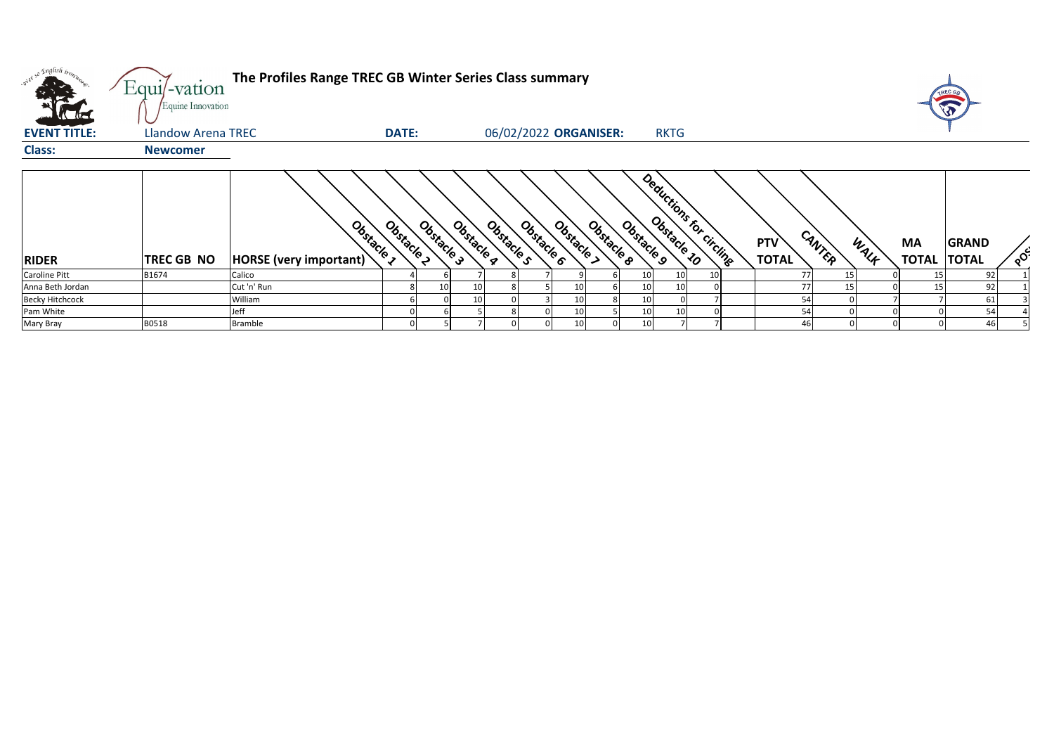| what so English tronz  | The Profiles Range TREC GB Winter Series Class summary<br>Equi/-vation<br>Equine Innovation |                                      |              |            |            |                       |  |                          |            |            |                         |  |  |                                      |      |                           | TREC G<br>U                  |                       |
|------------------------|---------------------------------------------------------------------------------------------|--------------------------------------|--------------|------------|------------|-----------------------|--|--------------------------|------------|------------|-------------------------|--|--|--------------------------------------|------|---------------------------|------------------------------|-----------------------|
| <b>EVENT TITLE:</b>    | Llandow Arena TREC                                                                          |                                      | <b>DATE:</b> |            |            | 06/02/2022 ORGANISER: |  |                          |            |            | <b>RKTG</b>             |  |  |                                      |      |                           |                              |                       |
| <b>Class:</b>          | <b>Newcomer</b>                                                                             |                                      |              |            |            |                       |  |                          |            |            |                         |  |  |                                      |      |                           |                              |                       |
| <b>RIDER</b>           | TREC GB NO                                                                                  | Obstacle 1<br>HORSE (very important) | Obstacle 2   | Obstacle 3 | Obstacle a | Obstacle s            |  | Obstacle ><br>Obstacle 6 | Obstacle 8 | Obstacle 9 | Deductions for circline |  |  | CANTER<br><b>PTV</b><br><b>TOTAL</b> | WALK | <b>MA</b><br><b>TOTAL</b> | <b>GRAND</b><br><b>TOTAL</b> | $\circ^{\mathcal{C}}$ |
| <b>Caroline Pitt</b>   | B1674                                                                                       | Calico                               |              |            |            |                       |  |                          |            |            | 10                      |  |  |                                      |      |                           | 92                           |                       |
| Anna Beth Jordan       |                                                                                             | Cut 'n' Run                          |              | 10         | 10         |                       |  |                          |            | 10         | 10                      |  |  | 77                                   |      |                           | 92                           |                       |
| <b>Becky Hitchcock</b> |                                                                                             | William                              |              |            | 10         |                       |  |                          |            | 10         |                         |  |  | 54                                   |      |                           | 61                           |                       |
| Pam White              |                                                                                             | Jeff                                 |              |            |            |                       |  |                          |            |            | 10                      |  |  | 54                                   |      |                           | 54                           |                       |
| Mary Bray              | B0518                                                                                       | <b>Bramble</b>                       |              |            |            |                       |  |                          |            | 10         |                         |  |  | 46                                   |      |                           | 46                           |                       |